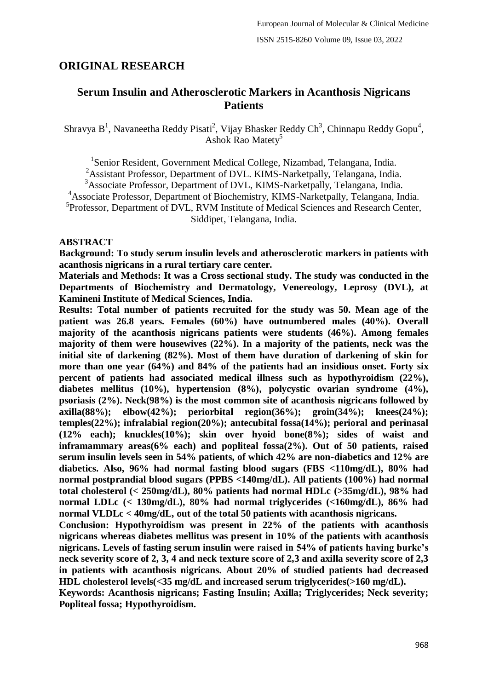# **ORIGINAL RESEARCH**

# **Serum Insulin and Atherosclerotic Markers in Acanthosis Nigricans Patients**

Shravya B<sup>1</sup>, Navaneetha Reddy Pisati<sup>2</sup>, Vijay Bhasker Reddy Ch<sup>3</sup>, Chinnapu Reddy Gopu<sup>4</sup>, Ashok Rao Matety<sup>5</sup>

<sup>1</sup>Senior Resident, Government Medical College, Nizambad, Telangana, India.

<sup>2</sup>Assistant Professor, Department of DVL. KIMS-Narketpally, Telangana, India.

<sup>3</sup>Associate Professor, Department of DVL, KIMS-Narketpally, Telangana, India.

<sup>4</sup>Associate Professor, Department of Biochemistry, KIMS-Narketpally, Telangana, India.

5 Professor, Department of DVL, RVM Institute of Medical Sciences and Research Center, Siddipet, Telangana, India.

## **ABSTRACT**

**Background: To study serum insulin levels and atherosclerotic markers in patients with acanthosis nigricans in a rural tertiary care center.**

**Materials and Methods: It was a Cross sectional study. The study was conducted in the Departments of Biochemistry and Dermatology, Venereology, Leprosy (DVL), at Kamineni Institute of Medical Sciences, India.**

**Results: Total number of patients recruited for the study was 50. Mean age of the patient was 26.8 years. Females (60%) have outnumbered males (40%). Overall majority of the acanthosis nigricans patients were students (46%). Among females majority of them were housewives (22%). In a majority of the patients, neck was the initial site of darkening (82%). Most of them have duration of darkening of skin for more than one year (64%) and 84% of the patients had an insidious onset. Forty six percent of patients had associated medical illness such as hypothyroidism (22%), diabetes mellitus (10%), hypertension (8%), polycystic ovarian syndrome (4%), psoriasis (2%). Neck(98%) is the most common site of acanthosis nigricans followed by axilla(88%); elbow(42%); periorbital region(36%); groin(34%); knees(24%); temples(22%); infralabial region(20%); antecubital fossa(14%); perioral and perinasal (12% each); knuckles(10%); skin over hyoid bone(8%); sides of waist and inframammary areas(6% each) and popliteal fossa(2%). Out of 50 patients, raised serum insulin levels seen in 54% patients, of which 42% are non-diabetics and 12% are diabetics. Also, 96% had normal fasting blood sugars (FBS <110mg/dL), 80% had normal postprandial blood sugars (PPBS <140mg/dL). All patients (100%) had normal total cholesterol (< 250mg/dL), 80% patients had normal HDLc (>35mg/dL), 98% had normal LDLc (< 130mg/dL), 80% had normal triglycerides (<160mg/dL), 86% had normal VLDLc < 40mg/dL, out of the total 50 patients with acanthosis nigricans.**

**Conclusion: Hypothyroidism was present in 22% of the patients with acanthosis nigricans whereas diabetes mellitus was present in 10% of the patients with acanthosis nigricans. Levels of fasting serum insulin were raised in 54% of patients having burke's neck severity score of 2, 3, 4 and neck texture score of 2,3 and axilla severity score of 2,3 in patients with acanthosis nigricans. About 20% of studied patients had decreased HDL cholesterol levels(<35 mg/dL and increased serum triglycerides(>160 mg/dL).**

**Keywords: Acanthosis nigricans; Fasting Insulin; Axilla; Triglycerides; Neck severity; Popliteal fossa; Hypothyroidism.**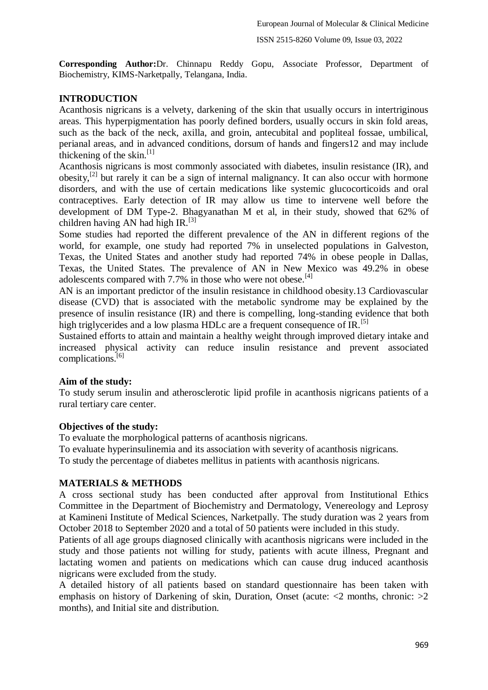**Corresponding Author:**Dr. Chinnapu Reddy Gopu, Associate Professor, Department of Biochemistry, KIMS-Narketpally, Telangana, India.

# **INTRODUCTION**

Acanthosis nigricans is a velvety, darkening of the skin that usually occurs in intertriginous areas. This hyperpigmentation has poorly defined borders, usually occurs in skin fold areas, such as the back of the neck, axilla, and groin, antecubital and popliteal fossae, umbilical, perianal areas, and in advanced conditions, dorsum of hands and fingers12 and may include thickening of the skin.<sup>[1]</sup>

Acanthosis nigricans is most commonly associated with diabetes, insulin resistance (IR), and obesity,<sup>[2]</sup> but rarely it can be a sign of internal malignancy. It can also occur with hormone disorders, and with the use of certain medications like systemic glucocorticoids and oral contraceptives. Early detection of IR may allow us time to intervene well before the development of DM Type-2. Bhagyanathan M et al, in their study, showed that 62% of children having AN had high IR.<sup>[3]</sup>

Some studies had reported the different prevalence of the AN in different regions of the world, for example, one study had reported 7% in unselected populations in Galveston, Texas, the United States and another study had reported 74% in obese people in Dallas, Texas, the United States. The prevalence of AN in New Mexico was 49.2% in obese adolescents compared with 7.7% in those who were not obese.<sup>[4]</sup>

AN is an important predictor of the insulin resistance in childhood obesity.13 Cardiovascular disease (CVD) that is associated with the metabolic syndrome may be explained by the presence of insulin resistance (IR) and there is compelling, long-standing evidence that both high triglycerides and a low plasma HDLc are a frequent consequence of IR.<sup>[5]</sup>

Sustained efforts to attain and maintain a healthy weight through improved dietary intake and increased physical activity can reduce insulin resistance and prevent associated complications.[6]

# **Aim of the study:**

To study serum insulin and atherosclerotic lipid profile in acanthosis nigricans patients of a rural tertiary care center.

# **Objectives of the study:**

To evaluate the morphological patterns of acanthosis nigricans.

To evaluate hyperinsulinemia and its association with severity of acanthosis nigricans.

To study the percentage of diabetes mellitus in patients with acanthosis nigricans.

# **MATERIALS & METHODS**

A cross sectional study has been conducted after approval from Institutional Ethics Committee in the Department of Biochemistry and Dermatology, Venereology and Leprosy at Kamineni Institute of Medical Sciences, Narketpally. The study duration was 2 years from October 2018 to September 2020 and a total of 50 patients were included in this study.

Patients of all age groups diagnosed clinically with acanthosis nigricans were included in the study and those patients not willing for study, patients with acute illness, Pregnant and lactating women and patients on medications which can cause drug induced acanthosis nigricans were excluded from the study.

A detailed history of all patients based on standard questionnaire has been taken with emphasis on history of Darkening of skin, Duration, Onset (acute: <2 months, chronic: >2 months), and Initial site and distribution.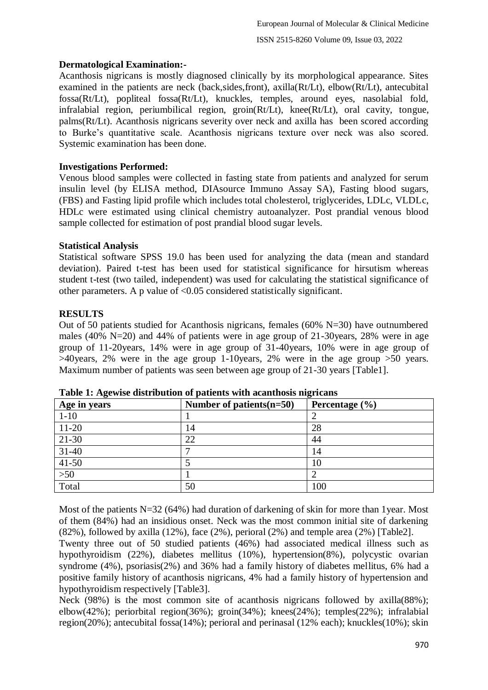# **Dermatological Examination:-**

Acanthosis nigricans is mostly diagnosed clinically by its morphological appearance. Sites examined in the patients are neck (back,sides,front), axilla(Rt/Lt), elbow(Rt/Lt), antecubital fossa(Rt/Lt), popliteal fossa(Rt/Lt), knuckles, temples, around eyes, nasolabial fold, infralabial region, periumbilical region, groin(Rt/Lt), knee(Rt/Lt), oral cavity, tongue, palms(Rt/Lt). Acanthosis nigricans severity over neck and axilla has been scored according to Burke's quantitative scale. Acanthosis nigricans texture over neck was also scored. Systemic examination has been done.

## **Investigations Performed:**

Venous blood samples were collected in fasting state from patients and analyzed for serum insulin level (by ELISA method, DIAsource Immuno Assay SA), Fasting blood sugars, (FBS) and Fasting lipid profile which includes total cholesterol, triglycerides, LDLc, VLDLc, HDLc were estimated using clinical chemistry autoanalyzer. Post prandial venous blood sample collected for estimation of post prandial blood sugar levels.

#### **Statistical Analysis**

Statistical software SPSS 19.0 has been used for analyzing the data (mean and standard deviation). Paired t-test has been used for statistical significance for hirsutism whereas student t-test (two tailed, independent) was used for calculating the statistical significance of other parameters. A p value of  $\leq 0.05$  considered statistically significant.

## **RESULTS**

Out of 50 patients studied for Acanthosis nigricans, females (60% N=30) have outnumbered males (40% N=20) and 44% of patients were in age group of 21-30years, 28% were in age group of 11-20years, 14% were in age group of 31-40years, 10% were in age group of >40years, 2% were in the age group 1-10years, 2% were in the age group >50 years. Maximum number of patients was seen between age group of 21-30 years [Table1].

| Age in years | Number of patients $(n=50)$ | Percentage $(\% )$ |
|--------------|-----------------------------|--------------------|
| $1 - 10$     |                             |                    |
| $11-20$      | 14                          | 28                 |
| 21-30        | 22                          | 44                 |
| $31 - 40$    |                             | 14                 |
| $41 - 50$    |                             | 10                 |
| $>50$        |                             |                    |
| Total        | 50                          | 100                |

**Table 1: Agewise distribution of patients with acanthosis nigricans**

Most of the patients N=32 (64%) had duration of darkening of skin for more than 1year. Most of them (84%) had an insidious onset. Neck was the most common initial site of darkening  $(82\%)$ , followed by axilla  $(12\%)$ , face  $(2\%)$ , perioral  $(2\%)$  and temple area  $(2\%)$  [Table2].

Twenty three out of 50 studied patients (46%) had associated medical illness such as hypothyroidism (22%), diabetes mellitus (10%), hypertension(8%), polycystic ovarian syndrome (4%), psoriasis(2%) and 36% had a family history of diabetes mellitus, 6% had a positive family history of acanthosis nigricans, 4% had a family history of hypertension and hypothyroidism respectively [Table3].

Neck (98%) is the most common site of acanthosis nigricans followed by axilla(88%); elbow(42%); periorbital region(36%); groin(34%); knees(24%); temples(22%); infralabial region(20%); antecubital fossa(14%); perioral and perinasal (12% each); knuckles(10%); skin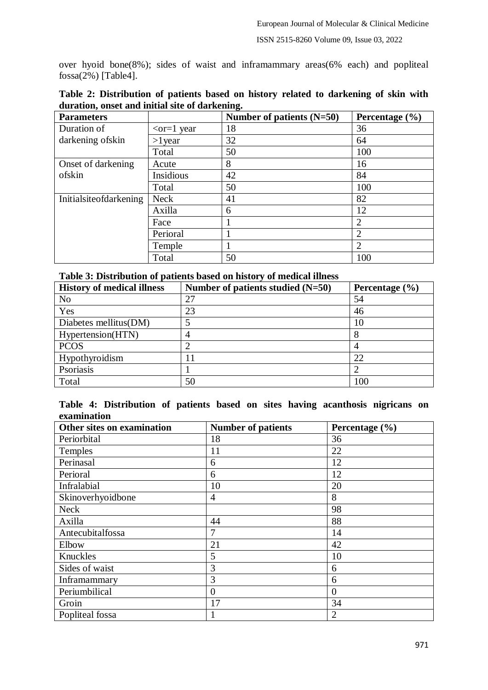over hyoid bone(8%); sides of waist and inframammary areas(6% each) and popliteal  $fossa(2%)$  [Table4].

| <b>Parameters</b>      |                        | Number of patients $(N=50)$ | Percentage $(\% )$ |
|------------------------|------------------------|-----------------------------|--------------------|
| Duration of            | $\epsilon$ -cor=1 year | 18                          | 36                 |
| darkening ofskin       | $>1$ year              | 32                          | 64                 |
|                        | Total                  | 50                          | 100                |
| Onset of darkening     | Acute                  | 8                           | 16                 |
| ofskin                 | Insidious              | 42                          | 84                 |
|                        | Total                  | 50                          | 100                |
| Initialsiteofdarkening | <b>Neck</b>            | 41                          | 82                 |
|                        | Axilla                 | 6                           | 12                 |
|                        | Face                   |                             | 2                  |
|                        | Perioral               |                             | $\overline{2}$     |
|                        | Temple                 |                             | $\overline{2}$     |
|                        | Total                  | 50                          | 100                |

| Table 2: Distribution of patients based on history related to darkening of skin with |  |  |  |  |  |
|--------------------------------------------------------------------------------------|--|--|--|--|--|
| duration, onset and initial site of darkening.                                       |  |  |  |  |  |

| <b>History of medical illness</b> | Number of patients studied $(N=50)$ | Percentage $(\% )$ |
|-----------------------------------|-------------------------------------|--------------------|
| N <sub>0</sub>                    | 27                                  | 54                 |
| Yes                               | 23                                  | 46                 |
| Diabetes mellitus(DM)             | 5                                   | 10                 |
| Hypertension(HTN)                 | 4                                   | 8                  |
| <b>PCOS</b>                       | ി                                   |                    |
| Hypothyroidism                    |                                     | 22                 |
| Psoriasis                         |                                     |                    |
| Total                             | 50                                  | 100                |

|             | Table 4: Distribution of patients based on sites having acanthosis nigricans on |  |  |  |  |  |
|-------------|---------------------------------------------------------------------------------|--|--|--|--|--|
| examination |                                                                                 |  |  |  |  |  |

| Other sites on examination | <b>Number of patients</b> | Percentage (%) |
|----------------------------|---------------------------|----------------|
| Periorbital                | 18                        | 36             |
| Temples                    | 11                        | 22             |
| Perinasal                  | 6                         | 12             |
| Perioral                   | 6                         | 12             |
| Infralabial                | 10                        | 20             |
| Skinoverhyoidbone          | 4                         | 8              |
| <b>Neck</b>                |                           | 98             |
| Axilla                     | 44                        | 88             |
| Antecubitalfossa           | 7                         | 14             |
| Elbow                      | 21                        | 42             |
| Knuckles                   | 5                         | 10             |
| Sides of waist             | 3                         | 6              |
| Inframammary               | 3                         | 6              |
| Periumbilical              | $\theta$                  | $\overline{0}$ |
| Groin                      | 17                        | 34             |
| Popliteal fossa            |                           | $\overline{2}$ |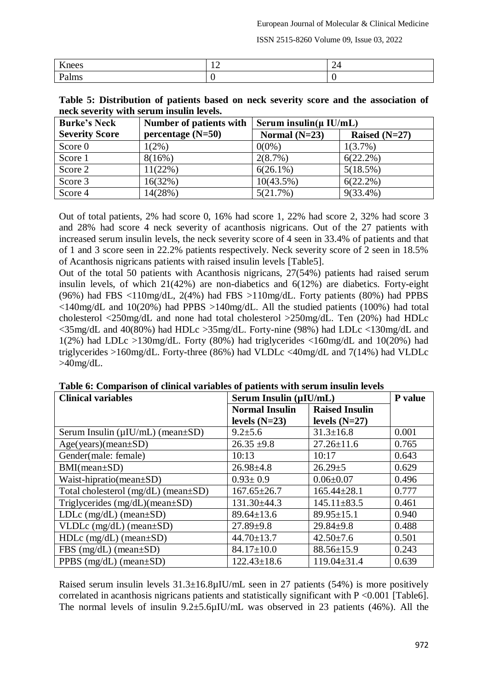ISSN 2515-8260 Volume 09, Issue 03, 2022

| --<br>$P^{\alpha}$ | - |
|--------------------|---|
| *******<br>        |   |

| Table 5: Distribution of patients based on neck severity score and the association of |  |  |  |  |  |
|---------------------------------------------------------------------------------------|--|--|--|--|--|
| neck severity with serum insulin levels.                                              |  |  |  |  |  |

| <b>Burke's Neck</b>   | Number of patients with | Serum insulin( $\mu$ IU/mL) |                 |
|-----------------------|-------------------------|-----------------------------|-----------------|
| <b>Severity Score</b> | percentage $(N=50)$     | Normal $(N=23)$             | Raised $(N=27)$ |
| Score 0               | $1(2\%)$                | $0(0\%)$                    | $1(3.7\%)$      |
| Score 1               | 8(16%)                  | $2(8.7\%)$                  | $6(22.2\%)$     |
| Score 2               | $11(22\%)$              | $6(26.1\%)$                 | 5(18.5%)        |
| Score 3               | 16(32%)                 | $10(43.5\%)$                | $6(22.2\%)$     |
| Score 4               | 14(28%)                 | 5(21.7%)                    | $9(33.4\%)$     |

Out of total patients, 2% had score 0, 16% had score 1, 22% had score 2, 32% had score 3 and 28% had score 4 neck severity of acanthosis nigricans. Out of the 27 patients with increased serum insulin levels, the neck severity score of 4 seen in 33.4% of patients and that of 1 and 3 score seen in 22.2% patients respectively. Neck severity score of 2 seen in 18.5% of Acanthosis nigricans patients with raised insulin levels [Table5].

Out of the total 50 patients with Acanthosis nigricans, 27(54%) patients had raised serum insulin levels, of which 21(42%) are non-diabetics and 6(12%) are diabetics. Forty-eight (96%) had FBS <110mg/dL, 2(4%) had FBS >110mg/dL. Forty patients (80%) had PPBS  $\langle 140 \text{mg/dL} \rangle$  and  $10(20\%)$  had PPBS  $>140 \text{mg/dL}$ . All the studied patients (100%) had total cholesterol <250mg/dL and none had total cholesterol >250mg/dL. Ten (20%) had HDLc <35mg/dL and 40(80%) had HDLc >35mg/dL. Forty-nine (98%) had LDLc <130mg/dL and 1(2%) had LDLc >130mg/dL. Forty (80%) had triglycerides <160mg/dL and 10(20%) had triglycerides >160mg/dL. Forty-three (86%) had VLDLc <40mg/dL and 7(14%) had VLDLc  $>40$ mg/dL.

| <b>Clinical variables</b>                    | Serum Insulin (µIU/mL) |                       | P value |
|----------------------------------------------|------------------------|-----------------------|---------|
|                                              | <b>Normal Insulin</b>  | <b>Raised Insulin</b> |         |
|                                              | levels $(N=23)$        | levels $(N=27)$       |         |
| Serum Insulin ( $\mu$ IU/mL) (mean $\pm$ SD) | $9.2 \pm 5.6$          | $31.3 \pm 16.8$       | 0.001   |
| $Age(years)(mean \pm SD)$                    | $26.35 \pm 9.8$        | $27.26 \pm 11.6$      | 0.765   |
| Gender(male: female)                         | 10:13                  | 10:17                 | 0.643   |
| $BMI(mean \pm SD)$                           | $26.98 \pm 4.8$        | $26.29 \pm 5$         | 0.629   |
| Waist-hipratio(mean $\pm SD$ )               | $0.93 \pm 0.9$         | $0.06 \pm 0.07$       | 0.496   |
| Total cholesterol $(mg/dL)$ (mean $\pm SD$ ) | $167.65 \pm 26.7$      | $165.44 \pm 28.1$     | 0.777   |
| Triglycerides $(mg/dL)(mean \pm SD)$         | $131.30\pm44.3$        | $145.11 \pm 83.5$     | 0.461   |
| LDLc $(mg/dL)$ (mean $\pm SD$ )              | $89.64 \pm 13.6$       | $89.95 \pm 15.1$      | 0.940   |
| $VLDLc$ (mg/dL) (mean $\pm SD$ )             | $27.89 \pm 9.8$        | $29.84 \pm 9.8$       | 0.488   |
| $HDLc$ (mg/dL) (mean $\pm SD$ )              | $44.70 \pm 13.7$       | $42.50 \pm 7.6$       | 0.501   |
| FBS $(mg/dL)$ (mean $\pm SD$ )               | $84.17 \pm 10.0$       | $88.56 \pm 15.9$      | 0.243   |
| PPBS $(mg/dL)$ (mean $\pm SD$ )              | $122.43 \pm 18.6$      | $119.04 \pm 31.4$     | 0.639   |

**Table 6: Comparison of clinical variables of patients with serum insulin levels**

Raised serum insulin levels  $31.3\pm16.8\mu$ IU/mL seen in 27 patients (54%) is more positively correlated in acanthosis nigricans patients and statistically significant with  $P \le 0.001$  [Table6]. The normal levels of insulin 9.2±5.6µIU/mL was observed in 23 patients (46%). All the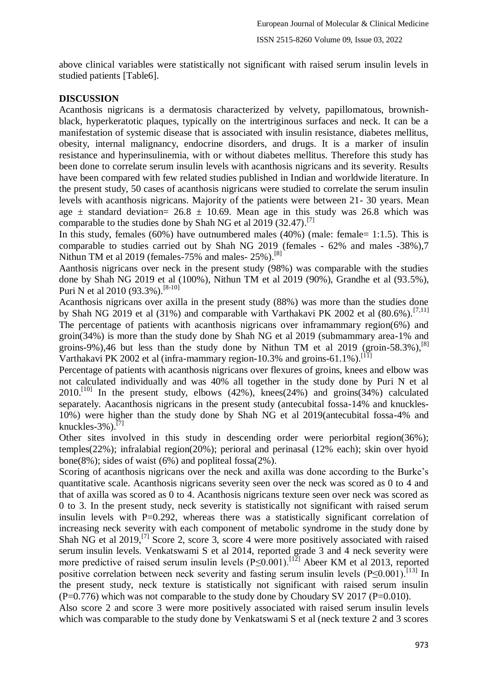above clinical variables were statistically not significant with raised serum insulin levels in studied patients [Table6].

## **DISCUSSION**

Acanthosis nigricans is a dermatosis characterized by velvety, papillomatous, brownishblack, hyperkeratotic plaques, typically on the intertriginous surfaces and neck. It can be a manifestation of systemic disease that is associated with insulin resistance, diabetes mellitus, obesity, internal malignancy, endocrine disorders, and drugs. It is a marker of insulin resistance and hyperinsulinemia, with or without diabetes mellitus. Therefore this study has been done to correlate serum insulin levels with acanthosis nigricans and its severity. Results have been compared with few related studies published in Indian and worldwide literature. In the present study, 50 cases of acanthosis nigricans were studied to correlate the serum insulin levels with acanthosis nigricans. Majority of the patients were between 21- 30 years. Mean age  $\pm$  standard deviation= 26.8  $\pm$  10.69. Mean age in this study was 26.8 which was comparable to the studies done by Shah NG et al 2019 (32.47).<sup>[7]</sup>

In this study, females  $(60\%)$  have outnumbered males  $(40\%)$  (male: female= 1:1.5). This is comparable to studies carried out by Shah NG 2019 (females - 62% and males -38%),7 Nithun TM et al 2019 (females-75% and males-25%).<sup>[8]</sup>

Aanthosis nigricans over neck in the present study (98%) was comparable with the studies done by Shah NG 2019 et al (100%), Nithun TM et al 2019 (90%), Grandhe et al (93.5%), Puri N et al 2010 (93.3%).<sup>[8-10]</sup>

Acanthosis nigricans over axilla in the present study (88%) was more than the studies done by Shah NG 2019 et al (31%) and comparable with Varthakavi PK 2002 et al (80.6%).<sup>[7,11]</sup> The percentage of patients with acanthosis nigricans over inframammary region(6%) and groin(34%) is more than the study done by Shah NG et al 2019 (submammary area-1% and groins-9%),46 but less than the study done by Nithun TM et al 2019 (groin-58.3%),<sup>[8]</sup> Varthakavi PK 2002 et al (infra-mammary region-10.3% and groins-61.1%).<sup>[11]</sup>

Percentage of patients with acanthosis nigricans over flexures of groins, knees and elbow was not calculated individually and was 40% all together in the study done by Puri N et al  $2010$ .<sup>[10]</sup> In the present study, elbows (42%), knees(24%) and groins(34%) calculated separately. Aacanthosis nigricans in the present study (antecubital fossa-14% and knuckles-10%) were higher than the study done by Shah NG et al 2019(antecubital fossa-4% and knuckles- $3\%$ ).<sup>[7]</sup>

Other sites involved in this study in descending order were periorbital region(36%); temples(22%); infralabial region(20%); perioral and perinasal (12% each); skin over hyoid bone(8%); sides of waist (6%) and popliteal fossa $(2\%)$ .

Scoring of acanthosis nigricans over the neck and axilla was done according to the Burke's quantitative scale. Acanthosis nigricans severity seen over the neck was scored as 0 to 4 and that of axilla was scored as 0 to 4. Acanthosis nigricans texture seen over neck was scored as 0 to 3. In the present study, neck severity is statistically not significant with raised serum insulin levels with P=0.292, whereas there was a statistically significant correlation of increasing neck severity with each component of metabolic syndrome in the study done by Shah NG et al  $2019$ , <sup>[7]</sup> Score 2, score 3, score 4 were more positively associated with raised serum insulin levels. Venkatswami S et al 2014, reported grade 3 and 4 neck severity were more predictive of raised serum insulin levels ( $\overline{P} \le 0.001$ ).<sup>[12]</sup> Abeer KM et al 2013, reported positive correlation between neck severity and fasting serum insulin levels  $(P< 0.001)$ .<sup>[13]</sup> In the present study, neck texture is statistically not significant with raised serum insulin  $(P=0.776)$  which was not comparable to the study done by Choudary SV 2017 (P=0.010).

Also score 2 and score 3 were more positively associated with raised serum insulin levels which was comparable to the study done by Venkatswami S et al (neck texture 2 and 3 scores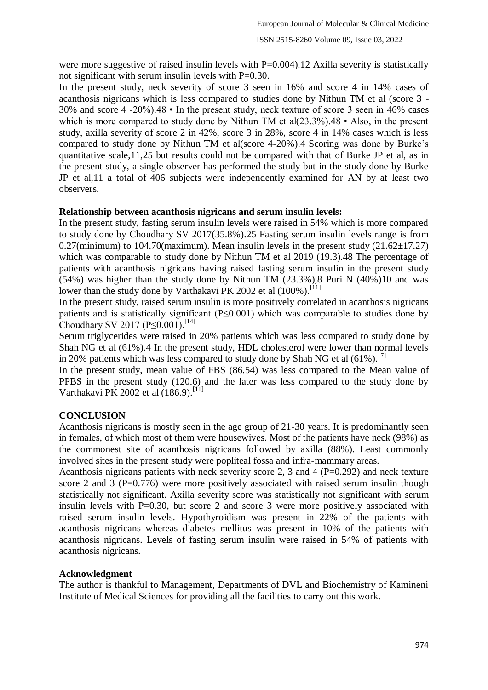were more suggestive of raised insulin levels with P=0.004).12 Axilla severity is statistically not significant with serum insulin levels with P=0.30.

In the present study, neck severity of score 3 seen in 16% and score 4 in 14% cases of acanthosis nigricans which is less compared to studies done by Nithun TM et al (score 3 - 30% and score 4 -20%).48 • In the present study, neck texture of score 3 seen in 46% cases which is more compared to study done by Nithun TM et al( $23.3\%$ ).48 • Also, in the present study, axilla severity of score 2 in 42%, score 3 in 28%, score 4 in 14% cases which is less compared to study done by Nithun TM et al(score 4-20%).4 Scoring was done by Burke's quantitative scale,11,25 but results could not be compared with that of Burke JP et al, as in the present study, a single observer has performed the study but in the study done by Burke JP et al,11 a total of 406 subjects were independently examined for AN by at least two observers.

## **Relationship between acanthosis nigricans and serum insulin levels:**

In the present study, fasting serum insulin levels were raised in 54% which is more compared to study done by Choudhary SV 2017(35.8%).25 Fasting serum insulin levels range is from 0.27(minimum) to 104.70(maximum). Mean insulin levels in the present study  $(21.62\pm17.27)$ which was comparable to study done by Nithun TM et al 2019 (19.3).48 The percentage of patients with acanthosis nigricans having raised fasting serum insulin in the present study (54%) was higher than the study done by Nithun TM (23.3%),8 Puri N (40%)10 and was lower than the study done by Varthakavi PK 2002 et al (100%).<sup>[11]</sup>

In the present study, raised serum insulin is more positively correlated in acanthosis nigricans patients and is statistically significant (P≤0.001) which was comparable to studies done by Choudhary SV 2017 (P≤0.001). [14]

Serum triglycerides were raised in 20% patients which was less compared to study done by Shah NG et al (61%).4 In the present study, HDL cholesterol were lower than normal levels in 20% patients which was less compared to study done by Shah NG et al  $(61\%)$ .<sup>[7]</sup>

In the present study, mean value of FBS (86.54) was less compared to the Mean value of PPBS in the present study (120.6) and the later was less compared to the study done by Varthakavi PK 2002 et al  $(186.9)$ .<sup>[11]</sup>

#### **CONCLUSION**

Acanthosis nigricans is mostly seen in the age group of 21-30 years. It is predominantly seen in females, of which most of them were housewives. Most of the patients have neck (98%) as the commonest site of acanthosis nigricans followed by axilla (88%). Least commonly involved sites in the present study were popliteal fossa and infra-mammary areas.

Acanthosis nigricans patients with neck severity score 2, 3 and 4 ( $P=0.292$ ) and neck texture score 2 and 3 ( $P=0.776$ ) were more positively associated with raised serum insulin though statistically not significant. Axilla severity score was statistically not significant with serum insulin levels with P=0.30, but score 2 and score 3 were more positively associated with raised serum insulin levels. Hypothyroidism was present in 22% of the patients with acanthosis nigricans whereas diabetes mellitus was present in 10% of the patients with acanthosis nigricans. Levels of fasting serum insulin were raised in 54% of patients with acanthosis nigricans.

#### **Acknowledgment**

The author is thankful to Management, Departments of DVL and Biochemistry of Kamineni Institute of Medical Sciences for providing all the facilities to carry out this work.